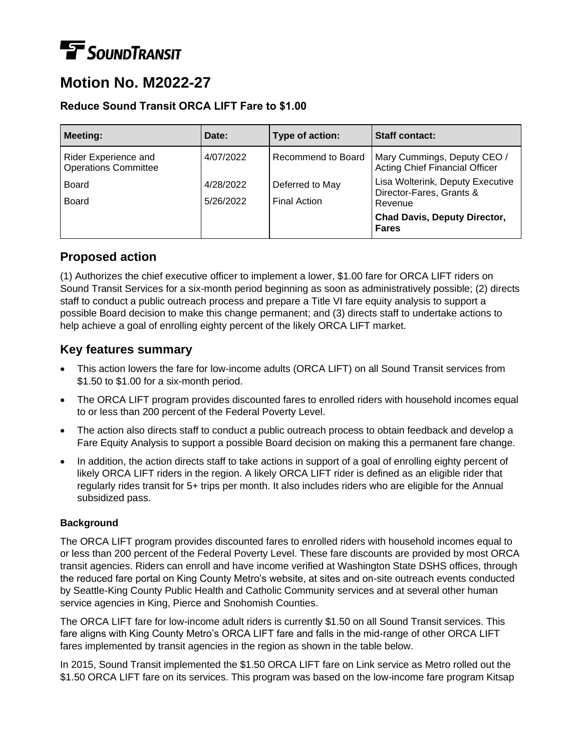# **TE** SOUNDTRANSIT

# **Motion No. M2022-27**

#### **Reduce Sound Transit ORCA LIFT Fare to \$1.00**

| <b>Meeting:</b>                                     | Date:     | Type of action:     | <b>Staff contact:</b>                                                |
|-----------------------------------------------------|-----------|---------------------|----------------------------------------------------------------------|
| Rider Experience and<br><b>Operations Committee</b> | 4/07/2022 | Recommend to Board  | Mary Cummings, Deputy CEO /<br><b>Acting Chief Financial Officer</b> |
| <b>Board</b>                                        | 4/28/2022 | Deferred to May     | Lisa Wolterink, Deputy Executive<br>Director-Fares, Grants &         |
| <b>Board</b>                                        | 5/26/2022 | <b>Final Action</b> | Revenue                                                              |
|                                                     |           |                     | <b>Chad Davis, Deputy Director,</b><br><b>Fares</b>                  |

## **Proposed action**

(1) Authorizes the chief executive officer to implement a lower, \$1.00 fare for ORCA LIFT riders on Sound Transit Services for a six-month period beginning as soon as administratively possible; (2) directs staff to conduct a public outreach process and prepare a Title VI fare equity analysis to support a possible Board decision to make this change permanent; and (3) directs staff to undertake actions to help achieve a goal of enrolling eighty percent of the likely ORCA LIFT market.

### **Key features summary**

- This action lowers the fare for low-income adults (ORCA LIFT) on all Sound Transit services from \$1.50 to \$1.00 for a six-month period.
- The ORCA LIFT program provides discounted fares to enrolled riders with household incomes equal to or less than 200 percent of the Federal Poverty Level.
- The action also directs staff to conduct a public outreach process to obtain feedback and develop a Fare Equity Analysis to support a possible Board decision on making this a permanent fare change.
- In addition, the action directs staff to take actions in support of a goal of enrolling eighty percent of likely ORCA LIFT riders in the region. A likely ORCA LIFT rider is defined as an eligible rider that regularly rides transit for 5+ trips per month. It also includes riders who are eligible for the Annual subsidized pass.

#### **Background**

The ORCA LIFT program provides discounted fares to enrolled riders with household incomes equal to or less than 200 percent of the Federal Poverty Level. These fare discounts are provided by most ORCA transit agencies. Riders can enroll and have income verified at Washington State DSHS offices, through the reduced fare portal on King County Metro's website, at sites and on-site outreach events conducted by Seattle-King County Public Health and Catholic Community services and at several other human service agencies in King, Pierce and Snohomish Counties.

The ORCA LIFT fare for low-income adult riders is currently \$1.50 on all Sound Transit services. This fare aligns with King County Metro's ORCA LIFT fare and falls in the mid-range of other ORCA LIFT fares implemented by transit agencies in the region as shown in the table below.

In 2015, Sound Transit implemented the \$1.50 ORCA LIFT fare on Link service as Metro rolled out the \$1.50 ORCA LIFT fare on its services. This program was based on the low-income fare program Kitsap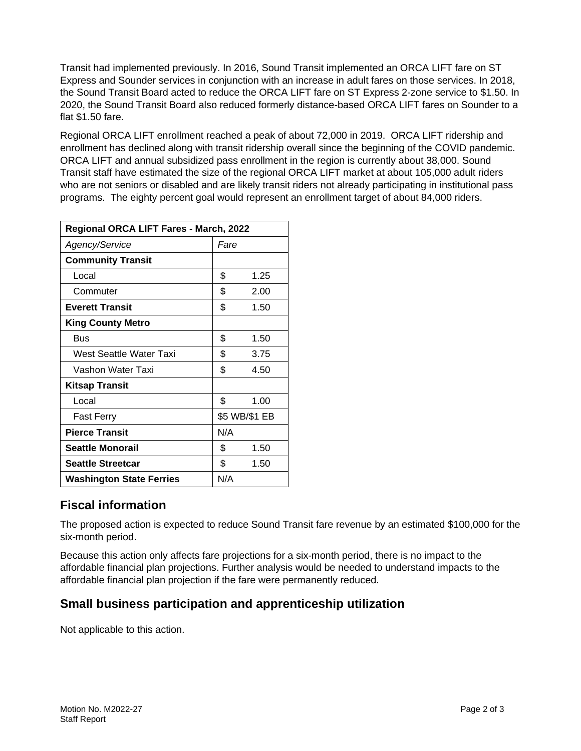Transit had implemented previously. In 2016, Sound Transit implemented an ORCA LIFT fare on ST Express and Sounder services in conjunction with an increase in adult fares on those services. In 2018, the Sound Transit Board acted to reduce the ORCA LIFT fare on ST Express 2-zone service to \$1.50. In 2020, the Sound Transit Board also reduced formerly distance-based ORCA LIFT fares on Sounder to a flat \$1.50 fare.

Regional ORCA LIFT enrollment reached a peak of about 72,000 in 2019. ORCA LIFT ridership and enrollment has declined along with transit ridership overall since the beginning of the COVID pandemic. ORCA LIFT and annual subsidized pass enrollment in the region is currently about 38,000. Sound Transit staff have estimated the size of the regional ORCA LIFT market at about 105,000 adult riders who are not seniors or disabled and are likely transit riders not already participating in institutional pass programs. The eighty percent goal would represent an enrollment target of about 84,000 riders.

| Regional ORCA LIFT Fares - March, 2022 |               |      |  |  |
|----------------------------------------|---------------|------|--|--|
| Agency/Service                         | Fare          |      |  |  |
| <b>Community Transit</b>               |               |      |  |  |
| Local                                  | \$            | 1.25 |  |  |
| Commuter                               | \$            | 2.00 |  |  |
| <b>Everett Transit</b>                 | \$            | 1.50 |  |  |
| <b>King County Metro</b>               |               |      |  |  |
| Bus                                    | \$            | 1.50 |  |  |
| West Seattle Water Taxi                | \$            | 3.75 |  |  |
| Vashon Water Taxi                      | \$            | 4.50 |  |  |
| <b>Kitsap Transit</b>                  |               |      |  |  |
| Local                                  | \$            | 1.00 |  |  |
| <b>Fast Ferry</b>                      | \$5 WB/\$1 EB |      |  |  |
| <b>Pierce Transit</b>                  | N/A           |      |  |  |
| <b>Seattle Monorail</b>                | \$            | 1.50 |  |  |
| <b>Seattle Streetcar</b>               | \$            | 1.50 |  |  |
| <b>Washington State Ferries</b>        | N/A           |      |  |  |

## **Fiscal information**

The proposed action is expected to reduce Sound Transit fare revenue by an estimated \$100,000 for the six-month period.

Because this action only affects fare projections for a six-month period, there is no impact to the affordable financial plan projections. Further analysis would be needed to understand impacts to the affordable financial plan projection if the fare were permanently reduced.

## **Small business participation and apprenticeship utilization**

Not applicable to this action.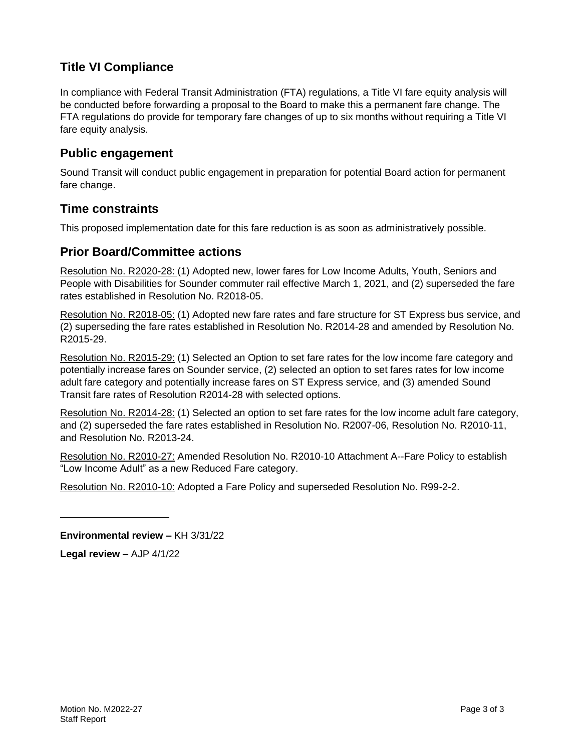# **Title VI Compliance**

In compliance with Federal Transit Administration (FTA) regulations, a Title VI fare equity analysis will be conducted before forwarding a proposal to the Board to make this a permanent fare change. The FTA regulations do provide for temporary fare changes of up to six months without requiring a Title VI fare equity analysis.

#### **Public engagement**

Sound Transit will conduct public engagement in preparation for potential Board action for permanent fare change.

#### **Time constraints**

This proposed implementation date for this fare reduction is as soon as administratively possible.

#### **Prior Board/Committee actions**

Resolution No. R2020-28: (1) Adopted new, lower fares for Low Income Adults, Youth, Seniors and People with Disabilities for Sounder commuter rail effective March 1, 2021, and (2) superseded the fare rates established in Resolution No. R2018-05.

Resolution No. R2018-05: (1) Adopted new fare rates and fare structure for ST Express bus service, and (2) superseding the fare rates established in Resolution No. R2014-28 and amended by Resolution No. R2015-29.

Resolution No. R2015-29: (1) Selected an Option to set fare rates for the low income fare category and potentially increase fares on Sounder service, (2) selected an option to set fares rates for low income adult fare category and potentially increase fares on ST Express service, and (3) amended Sound Transit fare rates of Resolution R2014-28 with selected options.

Resolution No. R2014-28: (1) Selected an option to set fare rates for the low income adult fare category, and (2) superseded the fare rates established in Resolution No. R2007-06, Resolution No. R2010-11, and Resolution No. R2013-24.

Resolution No. R2010-27: Amended Resolution No. R2010-10 Attachment A--Fare Policy to establish "Low Income Adult" as a new Reduced Fare category.

Resolution No. R2010-10: Adopted a Fare Policy and superseded Resolution No. R99-2-2.

**Environmental review –** KH 3/31/22

**Legal review –** AJP 4/1/22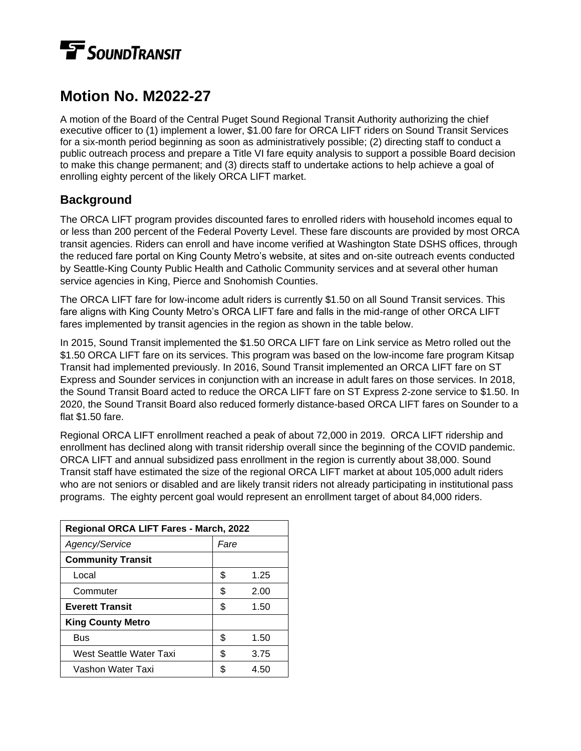# **TE** SOUNDTRANSIT

# **Motion No. M2022-27**

A motion of the Board of the Central Puget Sound Regional Transit Authority authorizing the chief executive officer to (1) implement a lower, \$1.00 fare for ORCA LIFT riders on Sound Transit Services for a six-month period beginning as soon as administratively possible; (2) directing staff to conduct a public outreach process and prepare a Title VI fare equity analysis to support a possible Board decision to make this change permanent; and (3) directs staff to undertake actions to help achieve a goal of enrolling eighty percent of the likely ORCA LIFT market.

# **Background**

The ORCA LIFT program provides discounted fares to enrolled riders with household incomes equal to or less than 200 percent of the Federal Poverty Level. These fare discounts are provided by most ORCA transit agencies. Riders can enroll and have income verified at Washington State DSHS offices, through the reduced fare portal on King County Metro's website, at sites and on-site outreach events conducted by Seattle-King County Public Health and Catholic Community services and at several other human service agencies in King, Pierce and Snohomish Counties.

The ORCA LIFT fare for low-income adult riders is currently \$1.50 on all Sound Transit services. This fare aligns with King County Metro's ORCA LIFT fare and falls in the mid-range of other ORCA LIFT fares implemented by transit agencies in the region as shown in the table below.

In 2015, Sound Transit implemented the \$1.50 ORCA LIFT fare on Link service as Metro rolled out the \$1.50 ORCA LIFT fare on its services. This program was based on the low-income fare program Kitsap Transit had implemented previously. In 2016, Sound Transit implemented an ORCA LIFT fare on ST Express and Sounder services in conjunction with an increase in adult fares on those services. In 2018, the Sound Transit Board acted to reduce the ORCA LIFT fare on ST Express 2-zone service to \$1.50. In 2020, the Sound Transit Board also reduced formerly distance-based ORCA LIFT fares on Sounder to a flat \$1.50 fare.

Regional ORCA LIFT enrollment reached a peak of about 72,000 in 2019. ORCA LIFT ridership and enrollment has declined along with transit ridership overall since the beginning of the COVID pandemic. ORCA LIFT and annual subsidized pass enrollment in the region is currently about 38,000. Sound Transit staff have estimated the size of the regional ORCA LIFT market at about 105,000 adult riders who are not seniors or disabled and are likely transit riders not already participating in institutional pass programs. The eighty percent goal would represent an enrollment target of about 84,000 riders.

| Regional ORCA LIFT Fares - March, 2022 |      |      |  |  |
|----------------------------------------|------|------|--|--|
| Agency/Service                         | Fare |      |  |  |
| <b>Community Transit</b>               |      |      |  |  |
| Local                                  | \$   | 1.25 |  |  |
| Commuter                               | \$   | 2.00 |  |  |
| <b>Everett Transit</b>                 | \$   | 1.50 |  |  |
| <b>King County Metro</b>               |      |      |  |  |
| Bus                                    | \$   | 1.50 |  |  |
| West Seattle Water Taxi                | S    | 3.75 |  |  |
| Vashon Water Taxi                      | \$   | 4.50 |  |  |